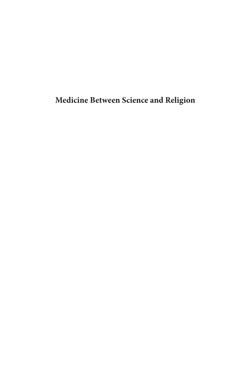**Medicine Between Science and Religion**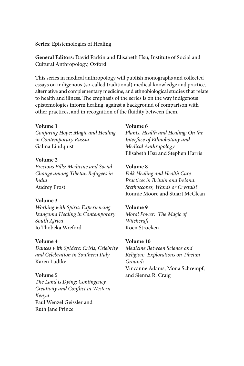**Series:** Epistemologies of Healing

**General Editors:** David Parkin and Elisabeth Hsu, Institute of Social and Cultural Anthropology, Oxford

This series in medical anthropology will publish monographs and collected essays on indigenous (so-called traditional) medical knowledge and practice, alternative and complementary medicine, and ethnobiological studies that relate to health and illness. The emphasis of the series is on the way indigenous epistemologies inform healing, against a background of comparison with other practices, and in recognition of the fluidity between them.

#### **Volume 1**

*Conjuring Hope: Magic and Healing in Contemporary Russia* Galina Lindquist

#### **Volume 2**

*Precious Pills: Medicine and Social Change among Tibetan Refugees in India* Audrey Prost

#### **Volume 3**

*Working with Spirit: Experiencing Izangoma Healing in Contemporary South Africa* Jo Thobeka Wreford

#### **Volume 4**

*Dances with Spiders: Crisis, Celebrity and Celebration in Southern Italy* Karen Lüdtke

#### **Volume 5**

*The Land is Dying: Contingency, Creativity and Conflict in Western Kenya* Paul Wenzel Geissler and Ruth Jane Prince

#### **Volume 6**

*Plants, Health and Healing: On the Interface of Ethnobotany and Medical Anthropology* Elisabeth Hsu and Stephen Harris

#### **Volume 8**

*Folk Healing and Health Care Practices in Britain and Ireland: Stethoscopes, Wands or Crystals?* Ronnie Moore and Stuart McClean

#### **Volume 9**

*Moral Power: The Magic of Witchcraft* Koen Stroeken

#### **Volume 10**

*Medicine Between Science and Religion: Explorations on Tibetan Grounds* Vincanne Adams, Mona Schrempf, and Sienna R. Craig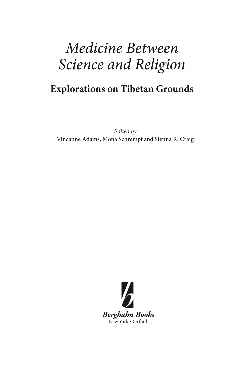# *Medicine Between Science and Religion*

## **Explorations on Tibetan Grounds**

*Edited by*  Vincanne Adams, Mona Schrempf and Sienna R. Craig

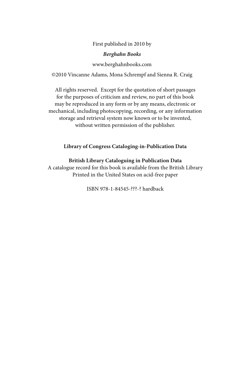First published in 2010 by

#### *Berghahn Books*

#### www.berghahnbooks.com

©2010 Vincanne Adams, Mona Schrempf and Sienna R. Craig

All rights reserved. Except for the quotation of short passages for the purposes of criticism and review, no part of this book may be reproduced in any form or by any means, electronic or mechanical, including photocopying, recording, or any information storage and retrieval system now known or to be invented, without written permission of the publisher.

#### **Library of Congress Cataloging-in-Publication Data**

#### **British Library Cataloguing in Publication Data** A catalogue record for this book is available from the British Library Printed in the United States on acid-free paper

ISBN 978-1-84545-???-? hardback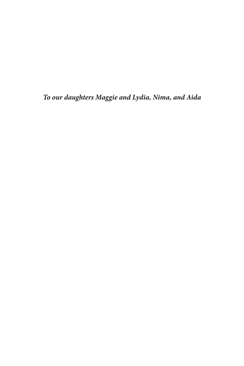*To our daughters Maggie and Lydia, Nima, and Aida*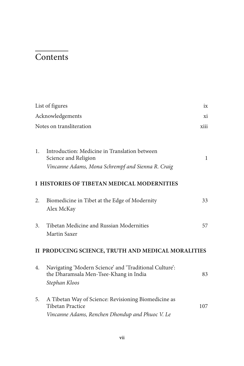## **Contents**

|                          | List of figures                                                                                                   | ix          |
|--------------------------|-------------------------------------------------------------------------------------------------------------------|-------------|
|                          | Acknowledgements                                                                                                  | хi          |
| Notes on transliteration |                                                                                                                   | xiii        |
|                          |                                                                                                                   |             |
| 1.                       | Introduction: Medicine in Translation between<br>Science and Religion                                             | $\mathbf 1$ |
|                          | Vincanne Adams, Mona Schrempf and Sienna R. Craig                                                                 |             |
|                          | I HISTORIES OF TIBETAN MEDICAL MODERNITIES                                                                        |             |
| 2.                       | Biomedicine in Tibet at the Edge of Modernity<br>Alex McKay                                                       | 33          |
| 3.                       | Tibetan Medicine and Russian Modernities<br>Martin Saxer                                                          | 57          |
|                          | II PRODUCING SCIENCE, TRUTH AND MEDICAL MORALITIES                                                                |             |
| 4.                       | Navigating 'Modern Science' and 'Traditional Culture':<br>the Dharamsala Men-Tsee-Khang in India<br>Stephan Kloos | 83          |
| 5.                       | A Tibetan Way of Science: Revisioning Biomedicine as<br><b>Tibetan Practice</b>                                   | 107         |
|                          | Vincanne Adams, Renchen Dhondup and Phuoc V. Le                                                                   |             |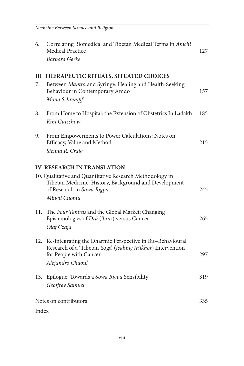| 6.    | Correlating Biomedical and Tibetan Medical Terms in Amchi<br><b>Medical Practice</b>                                                                                       | 127 |
|-------|----------------------------------------------------------------------------------------------------------------------------------------------------------------------------|-----|
|       | Barbara Gerke                                                                                                                                                              |     |
|       | III THERAPEUTIC RITUALS, SITUATED CHOICES                                                                                                                                  |     |
| 7.    | Between Mantra and Syringe: Healing and Health-Seeking<br>Behaviour in Contemporary Amdo<br>Mona Schrempf                                                                  | 157 |
| 8.    | From Home to Hospital: the Extension of Obstetrics In Ladakh<br>Kim Gutschow                                                                                               | 185 |
| 9.    | From Empowerments to Power Calculations: Notes on<br>Efficacy, Value and Method<br>Sienna R. Craig                                                                         | 215 |
|       | <b>IV RESEARCH IN TRANSLATION</b>                                                                                                                                          |     |
|       | 10. Qualitative and Quantitative Research Methodology in<br>Tibetan Medicine: History, Background and Development<br>of Research in Sowa Rigpa<br>Mingji Cuomu             | 245 |
| 11.   | The Four Tantras and the Global Market: Changing<br>Epistemologies of Drä ('bras) versus Cancer<br>Olaf Czaja                                                              | 265 |
|       | 12. Re-integrating the Dharmic Perspective in Bio-Behavioural<br>Research of a 'Tibetan Yoga' (tsalung trükhor) Intervention<br>for People with Cancer<br>Alejandro Chaoul | 297 |
| 13.   | Epilogue: Towards a Sowa Rigpa Sensibility<br>Geoffrey Samuel                                                                                                              | 319 |
|       | Notes on contributors                                                                                                                                                      | 335 |
| Index |                                                                                                                                                                            |     |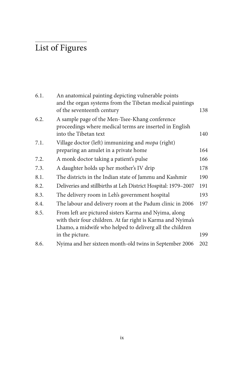## List of Figures

| 6.1. | An anatomical painting depicting vulnerable points<br>and the organ systems from the Tibetan medical paintings<br>of the seventeenth century                                                        | 138 |
|------|-----------------------------------------------------------------------------------------------------------------------------------------------------------------------------------------------------|-----|
| 6.2. | A sample page of the Men-Tsee-Khang conference<br>proceedings where medical terms are inserted in English<br>into the Tibetan text                                                                  | 140 |
| 7.1. | Village doctor (left) immunizing and <i>mopa</i> (right)<br>preparing an amulet in a private home                                                                                                   | 164 |
| 7.2. | A monk doctor taking a patient's pulse                                                                                                                                                              | 166 |
| 7.3. | A daughter holds up her mother's IV drip                                                                                                                                                            | 178 |
| 8.1. | The districts in the Indian state of Jammu and Kashmir                                                                                                                                              | 190 |
| 8.2. | Deliveries and stillbirths at Leh District Hospital: 1979-2007                                                                                                                                      | 191 |
| 8.3. | The delivery room in Leh's government hospital                                                                                                                                                      | 193 |
| 8.4. | The labour and delivery room at the Padum clinic in 2006                                                                                                                                            | 197 |
| 8.5. | From left are pictured sisters Karma and Nyima, along<br>with their four children. At far right is Karma and Nyima's<br>Lhamo, a midwife who helped to deliverg all the children<br>in the picture. | 199 |
| 8.6. | Nyima and her sixteen month-old twins in September 2006                                                                                                                                             | 202 |
|      |                                                                                                                                                                                                     |     |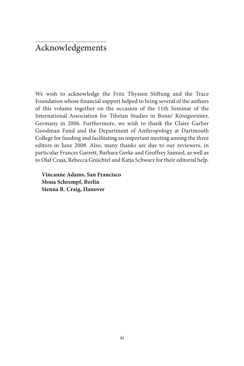## Acknowledgements

We wish to acknowledge the Fritz Thyssen Stiftung and the Trace Foundation whose financial support helped to bring several of the authors of this volume together on the occasion of the 11th Seminar of the International Association for Tibetan Studies in Bonn/ Königswinter, Germany in 2006. Furthermore, we wish to thank the Claire Garber Goodman Fund and the Department of Anthropology at Dartmouth College for funding and facilitating an important meeting among the three editors in June 2008. Also, many thanks are due to our reviewers, in particular Frances Garrett, Barbara Gerke and Geoffrey Samuel, as well as to Olaf Czaja, Rebecca Gnüchtel and Katja Schwarz for their editorial help.

**Vincanne Adams, San Francisco Mona Schrempf, Berlin Sienna R. Craig, Hanover**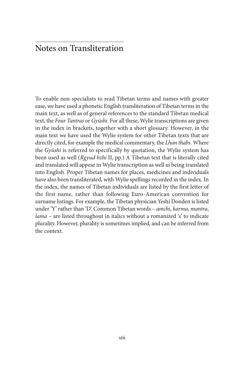## Notes on Transliteration

To enable non-specialists to read Tibetan terms and names with greater ease, we have used a phonetic English transliteration of Tibetan terms in the main text, as well as of general references to the standard Tibetan medical text, the *Four Tantras* or *Gyüshi*. For all these, Wylie transcriptions are given in the index in brackets, together with a short glossary. However, in the main text we have used the Wylie system for other Tibetan texts that are directly cited, for example the medical commentary, the *Lhan thabs*. Where the *Gyüshi* is referred to specifically by quotation, the Wylie system has been used as well (*Rgyud bzhi* II, pp.) A Tibetan text that is literally cited and translated will appear in Wylie transcription as well as being translated into English. Proper Tibetan names for places, medicines and individuals have also been transliterated, with Wylie spellings recorded in the index. In the index, the names of Tibetan individuals are listed by the first letter of the first name, rather than following Euro-American convention for surname listings. For example, the Tibetan physician Yeshi Donden is listed under 'Y' rather than 'D'. Common Tibetan words – *amchi*, *karma*, *mantra*, *lama* – are listed throughout in italics without a romanized 's' to indicate plurality. However, plurality is sometimes implied, and can be inferred from the context.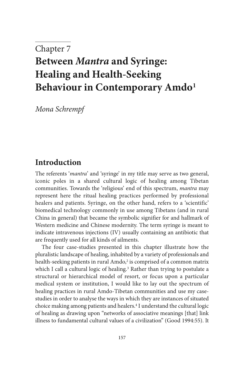## Chapter 7 **Between** *Mantra* **and Syringe: Healing and Health-Seeking Behaviour in Contemporary Amdo1**

*Mona Schrempf*

## **Introduction**

The referents '*mantra*' and 'syringe' in my title may serve as two general, iconic poles in a shared cultural logic of healing among Tibetan communities. Towards the 'religious' end of this spectrum, *mantra* may represent here the ritual healing practices performed by professional healers and patients. Syringe, on the other hand, refers to a 'scientific' biomedical technology commonly in use among Tibetans (and in rural China in general) that became the symbolic signifier for and hallmark of Western medicine and Chinese modernity. The term syringe is meant to indicate intravenous injections (IV) usually containing an antibiotic that are frequently used for all kinds of ailments.

The four case-studies presented in this chapter illustrate how the pluralistic landscape of healing, inhabited by a variety of professionals and health-seeking patients in rural Amdo,<sup>2</sup> is comprised of a common matrix which I call a cultural logic of healing.<sup>3</sup> Rather than trying to postulate a structural or hierarchical model of resort, or focus upon a particular medical system or institution, I would like to lay out the spectrum of healing practices in rural Amdo-Tibetan communities and use my casestudies in order to analyse the ways in which they are instances of situated choice making among patients and healers.4 I understand the cultural logic of healing as drawing upon "networks of associative meanings [that] link illness to fundamental cultural values of a civilization" (Good 1994:55). It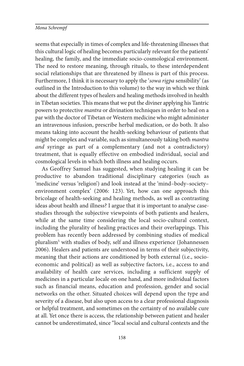seems that especially in times of complex and life-threatening illnesses that this cultural logic of healing becomes particularly relevant for the patients' healing, the family, and the immediate socio-cosmological environment. The need to restore meaning, through rituals, to these interdependent social relationships that are threatened by illness is part of this process. Furthermore, I think it is necessary to apply the '*sowa rigpa* sensibility' (as outlined in the Introduction to this volume) to the way in which we think about the different types of healers and healing methods involved in health in Tibetan societies. This means that we put the diviner applying his Tantric powers to protective *mantra* or divination techniques in order to heal on a par with the doctor of Tibetan or Western medicine who might administer an intravenous infusion, prescribe herbal medication, or do both. It also means taking into account the health-seeking behaviour of patients that might be complex and variable, such as simultaneously taking both *mantra and* syringe as part of a complementary (and not a contradictory) treatment, that is equally effective on embodied individual, social and cosmological levels in which both illness and healing occurs.

As Geoffrey Samuel has suggested, when studying healing it can be productive to abandon traditional disciplinary categories (such as 'medicine' versus 'religion') and look instead at the 'mind–body–society– environment complex' (2006: 123). Yet, how can one approach this bricolage of health-seeking and healing methods, as well as contrasting ideas about health and illness? I argue that it is important to analyse casestudies through the subjective viewpoints of both patients and healers, while at the same time considering the local socio-cultural context, including the plurality of healing practices and their overlappings. This problem has recently been addressed by combining studies of medical pluralism5 with studies of body, self and illness experience (Johannessen 2006). Healers and patients are understood in terms of their subjectivity, meaning that their actions are conditioned by both external (i.e., socioeconomic and political) as well as subjective factors, i.e., access to and availability of health care services, including a sufficient supply of medicines in a particular locale on one hand, and more individual factors such as financial means, education and profession, gender and social networks on the other. Situated choices will depend upon the type and severity of a disease, but also upon access to a clear professional diagnosis or helpful treatment, and sometimes on the certainty of no available cure at all. Yet once there is access, the relationship between patient and healer cannot be underestimated, since "local social and cultural contexts and the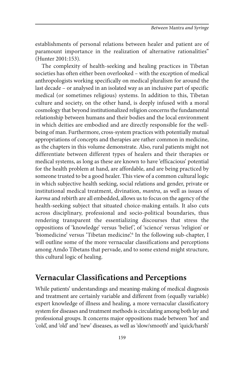establishments of personal relations between healer and patient are of paramount importance in the realization of alternative rationalities" (Hunter 2001:153).

The complexity of health-seeking and healing practices in Tibetan societies has often either been overlooked – with the exception of medical anthropologists working specifically on medical pluralism for around the last decade – or analysed in an isolated way as an inclusive part of specific medical (or sometimes religious) systems. In addition to this, Tibetan culture and society, on the other hand, is deeply infused with a moral cosmology that beyond institutionalized religion concerns the fundamental relationship between humans and their bodies and the local environment in which deities are embodied and are directly responsible for the wellbeing of man. Furthermore, cross-system practices with potentially mutual appropriations of concepts and therapies are rather common in medicine, as the chapters in this volume demonstrate. Also, rural patients might not differentiate between different types of healers and their therapies or medical systems, as long as these are known to have 'efficacious' potential for the health problem at hand, are affordable, and are being practiced by someone trusted to be a good healer. This view of a common cultural logic in which subjective health seeking, social relations and gender, private or institutional medical treatment, divination, *mantra*, as well as issues of *karma* and rebirth are all embedded, allows us to focus on the agency of the health-seeking subject that situated choice-making entails. It also cuts across disciplinary, professional and socio-political boundaries, thus rendering transparent the essentializing discourses that stress the oppositions of 'knowledge' versus 'belief ', of 'science' versus 'religion' or 'biomedicine' versus 'Tibetan medicine'.6 In the following sub-chapter, I will outline some of the more vernacular classifications and perceptions among Amdo Tibetans that pervade, and to some extend might structure, this cultural logic of healing.

### **Vernacular Classifications and Perceptions**

While patients' understandings and meaning-making of medical diagnosis and treatment are certainly variable and different from (equally variable) expert knowledge of illness and healing, a more vernacular classificatory system for diseases and treatment methods is circulating among both lay and professional groups. It concerns major oppositions made between 'hot' and 'cold', and 'old' and 'new' diseases, as well as 'slow/smooth' and 'quick/harsh'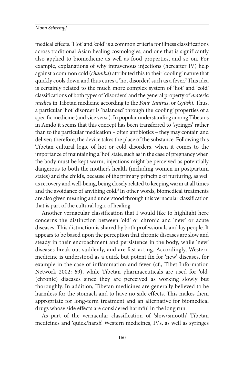medical effects. 'Hot' and 'cold' is a common criteria for illness classifications across traditional Asian healing cosmologies, and one that is significantly also applied to biomedicine as well as food properties, and so on. For example, explanations of why intravenous injections (hereafter IV) help against a common cold (*chamba*) attributed this to their 'cooling' nature that quickly cools down and thus cures a 'hot disorder', such as a fever.7This idea is certainly related to the much more complex system of 'hot' and 'cold' classifications of both types of 'disorders' and the general property of *materia medica* in Tibetan medicine according to the *Four Tantras*, or *Gyüshi*. Thus, a particular 'hot' disorder is 'balanced' through the 'cooling' properties of a specific medicine (and vice versa). In popular understanding among Tibetans in Amdo it seems that this concept has been transferred to 'syringes' rather than to the particular medication – often antibiotics – they may contain and deliver; therefore, the device takes the place of the substance. Following this Tibetan cultural logic of hot or cold disorders, when it comes to the importance of maintaining a 'hot' state, such as in the case of pregnancy when the body must be kept warm, injections might be perceived as potentially dangerous to both the mother's health (including women in postpartum states) and the child's, because of the primary principle of nurturing, as well as recovery and well-being, being closely related to keeping warm at all times and the avoidance of anything cold.<sup>8</sup> In other words, biomedical treatments are also given meaning and understood through this vernacular classification that is part of the cultural logic of healing.

Another vernacular classification that I would like to highlight here concerns the distinction between 'old' or chronic and 'new' or acute diseases. This distinction is shared by both professionals and lay people. It appears to be based upon the perception that chronic diseases are slow and steady in their encroachment and persistence in the body, while 'new' diseases break out suddenly, and are fast acting. Accordingly, Western medicine is understood as a quick but potent fix for 'new' diseases, for example in the case of inflammation and fever (cf., Tibet Information Network 2002: 69), while Tibetan pharmaceuticals are used for 'old' (chronic) diseases since they are perceived as working slowly but thoroughly. In addition, Tibetan medicines are generally believed to be harmless for the stomach and to have no side effects. This makes them appropriate for long-term treatment and an alternative for biomedical drugs whose side effects are considered harmful in the long run.

As part of the vernacular classification of 'slow/smooth' Tibetan medicines and 'quick/harsh' Western medicines, IVs, as well as syringes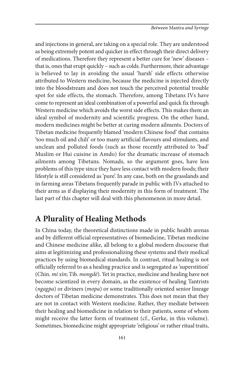and injections in general, are taking on a special role. They are understood as being extremely potent and quicker in effect through their direct delivery of medications. Therefore they represent a better cure for 'new' diseases – that is, ones that erupt quickly – such as colds. Furthermore, their advantage is believed to lay in avoiding the usual 'harsh' side effects otherwise attributed to Western medicine, because the medicine is injected directly into the bloodstream and does not touch the perceived potential trouble spot for side effects, the stomach. Therefore, among Tibetans IVs have come to represent an ideal combination of a powerful and quick fix through Western medicine which avoids the worst side effects. This makes them an ideal symbol of modernity and scientific progress. On the other hand, modern medicines might be better at curing modern ailments. Doctors of Tibetan medicine frequently blamed 'modern Chinese food' that contains 'too much oil and chili' or too many artificial flavours and stimulants, and unclean and polluted foods (such as those recently attributed to 'bad' Muslim or Hui cuisine in Amdo) for the dramatic increase of stomach ailments among Tibetans. Nomads, so the argument goes, have less problems of this type since they have less contact with modern foods; their lifestyle is still considered as 'pure'. In any case, both on the grasslands and in farming areas Tibetans frequently parade in public with IVs attached to their arms as if displaying their modernity in this form of treatment. The last part of this chapter will deal with this phenomenon in more detail.

## **A Plurality of Healing Methods**

In China today, the theoretical distinctions made in public health arenas and by different official representatives of biomedicine, Tibetan medicine and Chinese medicine alike, all belong to a global modern discourse that aims at legitimizing and professionalizing these systems and their medical practices by using biomedical standards. In contrast, ritual healing is not officially referred to as a healing practice and is segregated as 'superstition' (Chin. *mí xìn*; Tib. *mongdé*). Yet in practice, medicine and healing have not become scientized in every domain, as the existence of healing Tantrists (*ngagpa*) or diviners (*mopa*) or some traditionally oriented senior lineage doctors of Tibetan medicine demonstrates. This does not mean that they are not in contact with Western medicine. Rather, they mediate between their healing and biomedicine in relation to their patients, some of whom might receive the latter form of treatment (cf., Gerke, in this volume). Sometimes, biomedicine might appropriate 'religious' or rather ritual traits,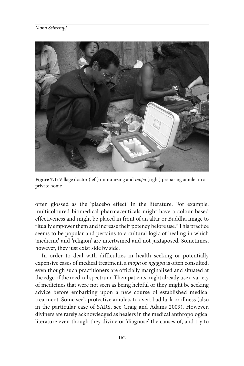

**Figure 7.1:** Village doctor (left) immunizing and *mopa* (right) preparing amulet in a private home

often glossed as the 'placebo effect' in the literature. For example, multicoloured biomedical pharmaceuticals might have a colour-based effectiveness and might be placed in front of an altar or Buddha image to ritually empower them and increase their potency before use.<sup>9</sup> This practice seems to be popular and pertains to a cultural logic of healing in which 'medicine' and 'religion' are intertwined and not juxtaposed. Sometimes, however, they just exist side by side.

In order to deal with difficulties in health seeking or potentially expensive cases of medical treatment, a *mopa* or *ngagpa* is often consulted, even though such practitioners are officially marginalized and situated at the edge of the medical spectrum. Their patients might already use a variety of medicines that were not seen as being helpful or they might be seeking advice before embarking upon a new course of established medical treatment. Some seek protective amulets to avert bad luck or illness (also in the particular case of SARS, see Craig and Adams 2009). However, diviners are rarely acknowledged as healers in the medical anthropological literature even though they divine or 'diagnose' the causes of, and try to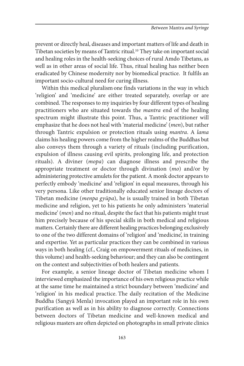prevent or directly heal, diseases and important matters of life and death in Tibetan societies by means of Tantric ritual.<sup>10</sup> They take on important social and healing roles in the health-seeking choices of rural Amdo Tibetans, as well as in other areas of social life. Thus, ritual healing has neither been eradicated by Chinese modernity nor by biomedical practice. It fulfils an important socio-cultural need for curing illness.

Within this medical pluralism one finds variations in the way in which 'religion' and 'medicine' are either treated separately, overlap or are combined. The responses to my inquiries by four different types of healing practitioners who are situated towards the *mantra* end of the healing spectrum might illustrate this point. Thus, a Tantric practitioner will emphasize that he does not heal with 'material medicine' (*men*), but rather through Tantric expulsion or protection rituals using *mantra*. A *lama* claims his healing powers come from the higher realms of the Buddhas but also conveys them through a variety of rituals (including purification, expulsion of illness causing evil spirits, prolonging life, and protection rituals). A diviner (*mopa*) can diagnose illness and prescribe the appropriate treatment or doctor through divination (*mo*) and/or by administering protective amulets for the patient. A monk doctor appears to perfectly embody 'medicine' and 'religion' in equal measures, through his very persona. Like other traditionally educated senior lineage doctors of Tibetan medicine (*menpa gyüpa*), he is usually trained in both Tibetan medicine and religion, yet to his patients he only administers 'material medicine' (*men*) and no ritual, despite the fact that his patients might trust him precisely because of his special skills in both medical and religious matters. Certainly there are different healing practices belonging exclusively to one of the two different domains of 'religion' and 'medicine', in training and expertise. Yet as particular practices they can be combined in various ways in both healing (cf., Craig on empowerment rituals of medicines, in this volume) and health-seeking behaviour; and they can also be contingent on the context and subjectivities of both healers and patients.

For example, a senior lineage doctor of Tibetan medicine whom I interviewed emphasized the importance of his own religious practice while at the same time he maintained a strict boundary between 'medicine' and 'religion' in his medical practice. The daily recitation of the Medicine Buddha (Sangyä Menla) invocation played an important role in his own purification as well as in his ability to diagnose correctly. Connections between doctors of Tibetan medicine and well-known medical and religious masters are often depicted on photographs in small private clinics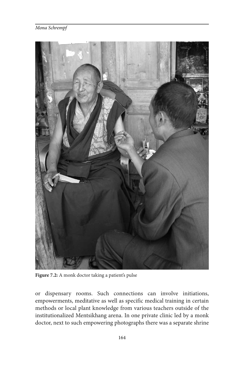

Figure 7.2: A monk doctor taking a patient's pulse

or dispensary rooms. Such connections can involve initiations, empowerments, meditative as well as specific medical training in certain methods or local plant knowledge from various teachers outside of the institutionalized Mentsikhang arena. In one private clinic led by a monk doctor, next to such empowering photographs there was a separate shrine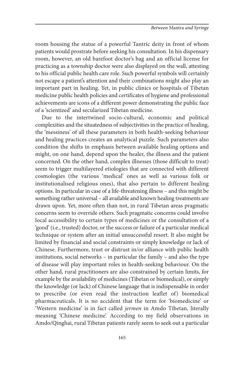room housing the statue of a powerful Tantric deity in front of whom patients would prostrate before seeking his consultation. In his dispensary room, however, an old barefoot doctor's bag and an official license for practicing as a township doctor were also displayed on the wall, attesting to his official public health care role. Such powerful symbols will certainly not escape a patient's attention and their combinations might also play an important part in healing. Yet, in public clinics or hospitals of Tibetan medicine public health policies and certificates of hygiene and professional achievements are icons of a different power demonstrating the public face of a 'scientized' and secularized Tibetan medicine.

Due to the intertwined socio-cultural, economic and political complexities and the situatedness of subjectivities in the practice of healing, the 'messiness' of all these parameters in both health-seeking behaviour and healing practices creates an analytical puzzle. Such parameters also condition the shifts in emphasis between available healing options and might, on one hand, depend upon the healer, the illness and the patient concerned. On the other hand, complex illnesses (those difficult to treat) seem to trigger multilayered etiologies that are connected with different cosmologies (the various 'medical' ones as well as various folk or institutionalised religious ones), that also pertain to different healing options. In particular in case of a life-threatening illness – and this might be something rather universal – all available and known healing treatments are drawn upon. Yet, more often than not, in rural Tibetan areas pragmatic concerns seem to override others. Such pragmatic concerns could involve local accessibility to certain types of medicines or the consultation of a 'good' (i.e., trusted) doctor, or the success or failure of a particular medical technique or system after an initial unsuccessful resort. It also might be limited by financial and social constraints or simply knowledge or lack of Chinese. Furthermore, trust or distrust in/or alliance with public health institutions, social networks – in particular the family – and also the type of disease will play important roles in health-seeking behaviour. On the other hand, rural practitioners are also constrained by certain limits, for example by the availability of medicines (Tibetan or biomedical), or simply the knowledge (or lack) of Chinese language that is indispensable in order to prescribe (or even read the instruction leaflet of) biomedical pharmaceuticals. It is no accident that the term for 'biomedicine' or 'Western medicine' is in fact called *jermen* in Amdo Tibetan, literally meaning 'Chinese medicine'. According to my field observations in Amdo/Qinghai, rural Tibetan patients rarely seem to seek out a particular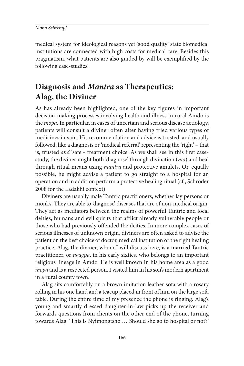medical system for ideological reasons yet 'good quality' state biomedical institutions are connected with high costs for medical care. Besides this pragmatism, what patients are also guided by will be exemplified by the following case-studies.

## **Diagnosis and** *Mantra* **as Therapeutics: Alag, the Diviner**

As has already been highlighted, one of the key figures in important decision-making processes involving health and illness in rural Amdo is the *mopa*. In particular, in cases of uncertain and serious disease aetiology, patients will consult a diviner often after having tried various types of medicines in vain. His recommendation and advice is trusted, and usually followed, like a diagnosis or 'medical referral' representing the 'right' – that is, trusted *and* 'safe'– treatment choice. As we shall see in this first casestudy, the diviner might both 'diagnose' through divination (*mo*) and heal through ritual means using *mantra* and protective amulets. Or, equally possible, he might advise a patient to go straight to a hospital for an operation and in addition perform a protective healing ritual (cf., Schröder 2008 for the Ladakhi context).

Diviners are usually male Tantric practitioners, whether lay persons or monks. They are able to 'diagnose' diseases that are of non-medical origin. They act as mediators between the realms of powerful Tantric and local deities, humans and evil spirits that afflict already vulnerable people or those who had previously offended the deities. In more complex cases of serious illnesses of unknown origin, diviners are often asked to advise the patient on the best choice of doctor, medical institution or the right healing practice. Alag, the diviner, whom I will discuss here, is a married Tantric practitioner, or *ngagpa*, in his early sixties, who belongs to an important religious lineage in Amdo. He is well known in his home area as a good *mopa* and is a respected person. I visited him in his son's modern apartment in a rural county town.

Alag sits comfortably on a brown imitation leather sofa with a rosary rolling in his one hand and a teacup placed in front of him on the large sofa table. During the entire time of my presence the phone is ringing. Alag's young and smartly dressed daughter-in-law picks up the receiver and forwards questions from clients on the other end of the phone, turning towards Alag: 'This is Nyimongtsho … Should she go to hospital or not?'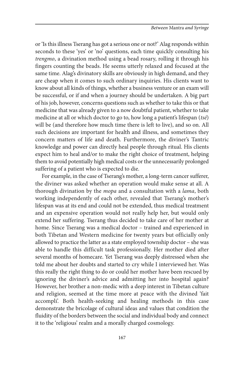or 'Is this illness Tserang has got a serious one or not?' Alag responds within seconds to these 'yes' or 'no' questions, each time quickly consulting his *trengmo*, a divination method using a bead rosary, rolling it through his fingers counting the beads. He seems utterly relaxed and focused at the same time. Alag's divinatory skills are obviously in high demand, and they are cheap when it comes to such ordinary inquiries. His clients want to know about all kinds of things, whether a business venture or an exam will be successful, or if and when a journey should be undertaken. A big part of his job, however, concerns questions such as whether to take this or that medicine that was already given to a now doubtful patient, whether to take medicine at all or which doctor to go to, how long a patient's lifespan (*tsé*) will be (and therefore how much time there is left to live), and so on. All such decisions are important for health and illness, and sometimes they concern matters of life and death. Furthermore, the diviner's Tantric knowledge and power can directly heal people through ritual. His clients expect him to heal and/or to make the right choice of treatment, helping them to avoid potentially high medical costs or the unnecessarily prolonged suffering of a patient who is expected to die.

For example, in the case of Tserang's mother, a long-term cancer sufferer, the diviner was asked whether an operation would make sense at all. A thorough divination by the *mopa* and a consultation with a *lama*, both working independently of each other, revealed that Tserang's mother's lifespan was at its end and could not be extended, thus medical treatment and an expensive operation would not really help her, but would only extend her suffering. Tserang thus decided to take care of her mother at home. Since Tserang was a medical doctor – trained and experienced in both Tibetan and Western medicine for twenty years but officially only allowed to practice the latter as a state employed township doctor – she was able to handle this difficult task professionally. Her mother died after several months of homecare. Yet Tserang was deeply distressed when she told me about her doubts and started to cry while I interviewed her. Was this really the right thing to do or could her mother have been rescued by ignoring the diviner's advice and admitting her into hospital again? However, her brother a non-medic with a deep interest in Tibetan culture and religion, seemed at the time more at peace with the divined 'fait accompli'. Both health-seeking and healing methods in this case demonstrate the bricolage of cultural ideas and values that condition the fluidity of the borders between the social and individual body and connect it to the 'religious' realm and a morally charged cosmology.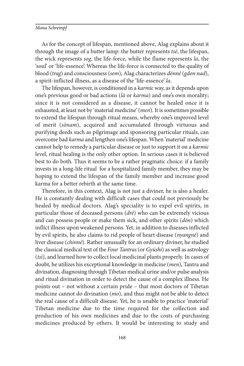As for the concept of lifespan, mentioned above, Alag explains about it through the image of a butter lamp: the butter represents *tsé*, the lifespan, the wick represents *sog*, the life-force, while the flame represents *la*, the 'soul' or 'life-essence'. Whereas the life-force is connected to the quality of blood (*trag*) and consciousness (*sem*), Alag characterizes *dönné* (*gdon nad*), a spirit-inflicted illness, as a disease of the 'life-essence' *la*.

The lifespan, however, is conditioned in a *karmic* way, as it depends upon one's previous good or bad actions (*lä* or *karma*) and one's own morality; since it is not considered as a disease, it cannot be healed once it is exhausted, at least not by 'material medicine' (*men*). It is sometimes possible to extend the lifespan through ritual means, whereby one's improved level of merit (*sönam*), acquired and accumulated through virtuous and purifying deeds such as pilgrimage and sponsoring particular rituals, can overcome bad *karma* and lengthen one's lifespan. When 'material' medicine cannot help to remedy a particular disease or just to support it on a *karmic* level, ritual healing is the only other option. In serious cases it is believed best to do both. Thus it seems to be a rather pragmatic choice: if a family invests in a long-life ritual for a hospitalized family member, they may be hoping to extend the lifespan of the family member and increase good karma for a better rebirth at the same time.

Therefore, in this context, Alag is not just a diviner, he is also a healer. He is constantly dealing with difficult cases that could not previously be healed by medical doctors. Alag's speciality is to expel evil spirits, in particular those of deceased persons (*dré*) who can be extremely vicious and can possess people or make them sick, and other spirits (*dön*) which inflict illness upon weakened persons. Yet, in addition to diseases inflicted by evil spirits, he also claims to rid people of heart disease (*nyangné*) and liver disease (*chinné*). Rather unusually for an ordinary diviner, he studied the classical medical text of the *Four Tantras* (or *Gyüshi*) as well as astrology (*tsi*), and learned how to collect local medicinal plants properly. In cases of doubt, he utilizes his exceptional knowledge in medicine (*men*), Tantra and divination, diagnosing through Tibetan medical urine and/or pulse analysis and ritual divination in order to detect the cause of a complex illness. He points out – not without a certain pride – that most doctors of Tibetan medicine cannot do divination (*mo*), and thus might not be able to detect the real cause of a difficult disease. Yet, he is unable to practice 'material' Tibetan medicine due to the time required for the collection and production of his own medicines and due to the costs of purchasing medicines produced by others. It would be interesting to study and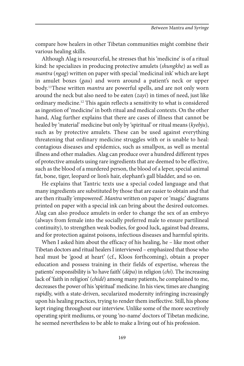compare how healers in other Tibetan communities might combine their various healing skills.

Although Alag is resourceful, he stresses that his 'medicine' is of a ritual kind: he specializes in producing protective amulets (*shungkhe*) as well as *mantra* (*ngag*) written on paper with special 'medicinal ink' which are kept in amulet boxes (*gau*) and worn around a patient's neck or upper body.11These written *mantra* are powerful spells, and are not only worn around the neck but also need to be eaten (*zayi*) in times of need, just like ordinary medicine.12 This again reflects a sensitivity to what is considered as ingestion of 'medicine' in both ritual and medical contexts. On the other hand, Alag further explains that there are cases of illness that cannot be healed by 'material' medicine but only by 'spiritual' or ritual means (*kyebju*), such as by protective amulets. These can be used against everything threatening that ordinary medicine struggles with or is unable to heal: contagious diseases and epidemics, such as smallpox, as well as mental illness and other maladies. Alag can produce over a hundred different types of protective amulets using rare ingredients that are deemed to be effective, such as the blood of a murdered person, the blood of a leper, special animal fat, bone, tiger, leopard or lion's hair, elephant's gall bladder, and so on.

He explains that Tantric texts use a special coded language and that many ingredients are substituted by those that are easier to obtain and that are then ritually 'empowered'. *Mantra* written on paper or 'magic' diagrams printed on paper with a special ink can bring about the desired outcomes. Alag can also produce amulets in order to change the sex of an embryo (always from female into the socially preferred male to ensure partilineal continuity), to strengthen weak bodies, for good luck, against bad dreams, and for protection against poisons, infectious diseases and harmful spirits.

When I asked him about the efficacy of his healing, he – like most other Tibetan doctors and ritual healers I interviewed – emphasized that those who heal must be 'good at heart' (cf., Kloos forthcoming), obtain a proper education and possess training in their fields of expertise, whereas the patients' responsibility is 'to have faith' (*dépa*) in religion (*chi*). The increasing lack of 'faith in religion' (*chidé*) among many patients, he complained to me, decreases the power of his 'spiritual' medicine. In his view, times are changing rapidly, with a state-driven, secularized modernity infringing increasingly upon his healing practices, trying to render them ineffective. Still, his phone kept ringing throughout our interview. Unlike some of the more secretively operating spirit mediums, or young 'no-name' doctors of Tibetan medicine, he seemed nevertheless to be able to make a living out of his profession.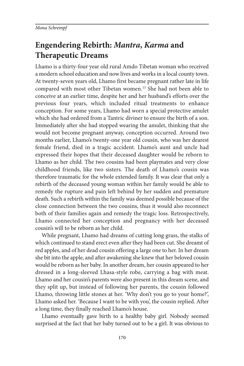## **Engendering Rebirth:** *Mantra***,** *Karma* **and Therapeutic Dreams**

Lhamo is a thirty-four year old rural Amdo Tibetan woman who received a modern school education and now lives and works in a local county town. At twenty-seven years old, Lhamo first became pregnant rather late in life compared with most other Tibetan women.13 She had not been able to conceive at an earlier time, despite her and her husband's efforts over the previous four years, which included ritual treatments to enhance conception. For some years, Lhamo had worn a special protective amulet which she had ordered from a Tantric diviner to ensure the birth of a son. Immediately after she had stopped wearing the amulet, thinking that she would not become pregnant anyway, conception occurred. Around two months earlier, Lhamo's twenty-one year old cousin, who was her dearest female friend, died in a tragic accident. Lhamo's aunt and uncle had expressed their hopes that their deceased daughter would be reborn to Lhamo as her child. The two cousins had been playmates and very close childhood friends, like two sisters. The death of Lhamo's cousin was therefore traumatic for the whole extended family. It was clear that only a rebirth of the deceased young woman within her family would be able to remedy the rupture and pain left behind by her sudden and premature death. Such a rebirth within the family was deemed possible because of the close connection between the two cousins, thus it would also reconnect both of their families again and remedy the tragic loss. Retrospectively, Lhamo connected her conception and pregnancy with her deceased cousin's will to be reborn as her child.

While pregnant, Lhamo had dreams of cutting long grass, the stalks of which continued to stand erect even after they had been cut. She dreamt of red apples, and of her dead cousin offering a large one to her. In her dream she bit into the apple, and after awakening she knew that her beloved cousin would be reborn as her baby. In another dream, her cousin appeared to her dressed in a long-sleeved Lhasa-style robe, carrying a bag with meat. Lhamo and her cousin's parents were also present in this dream scene, and they split up, but instead of following her parents, the cousin followed Lhamo, throwing little stones at her. 'Why don't you go to your home?', Lhamo asked her. 'Because I want to be with you', the cousin replied. After a long time, they finally reached Lhamo's house.

Lhamo eventually gave birth to a healthy baby girl. Nobody seemed surprised at the fact that her baby turned out to be a girl. It was obvious to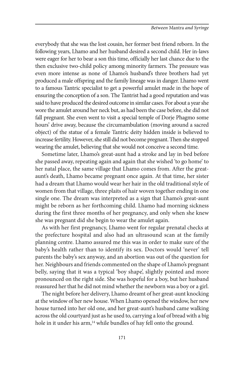everybody that she was the lost cousin, her former best friend reborn. In the following years, Lhamo and her husband desired a second child. Her in-laws were eager for her to bear a son this time, officially her last chance due to the then exclusive two-child policy among minority farmers. The pressure was even more intense as none of Lhamo's husband's three brothers had yet produced a male offspring and the family lineage was in danger. Lhamo went to a famous Tantric specialist to get a powerful amulet made in the hope of ensuring the conception of a son. The Tantrist had a good reputation and was said to have produced the desired outcome in similar cases. For about a year she wore the amulet around her neck but, as had been the case before, she did not fall pregnant. She even went to visit a special temple of Dorje Phagmo some hours' drive away, because the circumambulation (moving around a sacred object) of the statue of a female Tantric deity hidden inside is believed to increase fertility. However, she still did not become pregnant. Then she stopped wearing the amulet, believing that she would not conceive a second time.

Sometime later, Lhamo's great-aunt had a stroke and lay in bed before she passed away, repeating again and again that she wished 'to go home' to her natal place, the same village that Lhamo comes from. After the greataunt's death, Lhamo became pregnant once again. At that time, her sister had a dream that Lhamo would wear her hair in the old traditional style of women from that village, three plaits of hair woven together ending in one single one. The dream was interpreted as a sign that Lhamo's great-aunt might be reborn as her forthcoming child. Lhamo had morning sickness during the first three months of her pregnancy, and only when she knew she was pregnant did she begin to wear the amulet again.

As with her first pregnancy, Lhamo went for regular prenatal checks at the prefecture hospital and also had an ultrasound scan at the family planning centre. Lhamo assured me this was in order to make sure of the baby's health rather than to identify its sex. Doctors would 'never' tell parents the baby's sex anyway, and an abortion was out of the question for her. Neighbours and friends commented on the shape of Lhamo's pregnant belly, saying that it was a typical 'boy shape', slightly pointed and more pronounced on the right side. She was hopeful for a boy, but her husband reassured her that he did not mind whether the newborn was a boy or a girl.

The night before her delivery, Lhamo dreamt of her great-aunt knocking at the window of her new house. When Lhamo opened the window, her new house turned into her old one, and her great-aunt's husband came walking across the old courtyard just as he used to, carrying a loaf of bread with a big hole in it under his arm,<sup>14</sup> while bundles of hay fell onto the ground.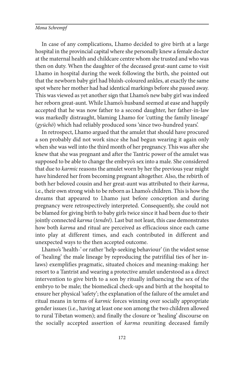In case of any complications, Lhamo decided to give birth at a large hospital in the provincial capital where she personally knew a female doctor at the maternal health and childcare centre whom she trusted and who was then on duty. When the daughter of the deceased great-aunt came to visit Lhamo in hospital during the week following the birth, she pointed out that the newborn baby girl had bluish-coloured ankles, at exactly the same spot where her mother had had identical markings before she passed away. This was viewed as yet another sign that Lhamo's new baby girl was indeed her reborn great-aunt. While Lhamo's husband seemed at ease and happily accepted that he was now father to a second daughter, her father-in-law was markedly distraught, blaming Lhamo for 'cutting the family lineage' (*gyüchö*) which had reliably produced sons 'since two-hundred years'.

In retrospect, Lhamo argued that the amulet that should have procured a son probably did not work since she had begun wearing it again only when she was well into the third month of her pregnancy. This was after she knew that she was pregnant and after the Tantric power of the amulet was supposed to be able to change the embryo's sex into a male. She considered that due to *karmic* reasons the amulet worn by her the previous year might have hindered her from becoming pregnant altogether. Also, the rebirth of both her beloved cousin and her great-aunt was attributed to their *karma*, i.e., their own strong wish to be reborn as Lhamo's children. This is how the dreams that appeared to Lhamo just before conception and during pregnancy were retrospectively interpreted. Consequently, she could not be blamed for giving birth to baby girls twice since it had been due to their jointly connected *karma* (*tendré*). Last but not least, this case demonstrates how both *karma* and ritual are perceived as efficacious since each came into play at different times, and each contributed in different and unexpected ways to the then accepted outcome.

Lhamo's 'health-' or rather 'help-seeking behaviour' (in the widest sense of 'healing' the male lineage by reproducing the patrifilial ties of her inlaws) exemplifies pragmatic, situated choices and meaning-making: her resort to a Tantrist and wearing a protective amulet understood as a direct intervention to give birth to a son by ritually influencing the sex of the embryo to be male; the biomedical check-ups and birth at the hospital to ensure her physical 'safety'; the explanation of the failure of the amulet and ritual means in terms of *karmic* forces winning over socially appropriate gender issues (i.e., having at least one son among the two children allowed to rural Tibetan women); and finally the closure or 'healing' discourse on the socially accepted assertion of *karma* reuniting deceased family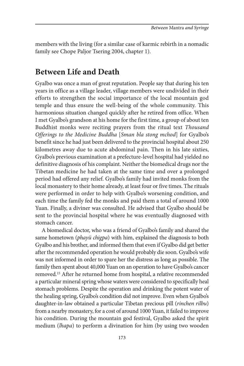members with the living (for a similar case of karmic rebirth in a nomadic family see Chope Paljor Tsering 2004, chapter 1).

## **Between Life and Death**

Gyalbo was once a man of great reputation. People say that during his ten years in office as a village leader, village members were undivided in their efforts to strengthen the social importance of the local mountain god temple and thus ensure the well-being of the whole community. This harmonious situation changed quickly after he retired from office. When I met Gyalbo's grandson at his home for the first time, a group of about ten Buddhist monks were reciting prayers from the ritual text *Thousand Offerings to the Medicine Buddha* [*Sman bla stong mchod*] for Gyalbo's benefit since he had just been delivered to the provincial hospital about 250 kilometres away due to acute abdominal pain. Then in his late sixties, Gyalbo's previous examination at a prefecture-level hospital had yielded no definitive diagnosis of his complaint. Neither the biomedical drugs nor the Tibetan medicine he had taken at the same time and over a prolonged period had offered any relief. Gyalbo's family had invited monks from the local monastery to their home already, at least four or five times. The rituals were performed in order to help with Gyalbo's worsening condition, and each time the family fed the monks and paid them a total of around 1000 Yuan. Finally, a diviner was consulted. He advised that Gyalbo should be sent to the provincial hospital where he was eventually diagnosed with stomach cancer.

A biomedical doctor, who was a friend of Gyalbo's family and shared the same hometown (*phayü chigpa*) with him, explained the diagnosis to both Gyalbo and his brother, and informed them that even if Gyalbo did get better after the recommended operation he would probably die soon. Gyalbo's wife was not informed in order to spare her the distress as long as possible. The family then spent about 40,000 Yuan on an operation to have Gyalbo's cancer removed.15 After he returned home from hospital, a relative recommended a particular mineral spring whose waters were considered to specifically heal stomach problems. Despite the operation and drinking the potent water of the healing spring, Gyalbo's condition did not improve. Even when Gyalbo's daughter-in-law obtained a particular Tibetan precious pill (*rinchen rilbu*) from a nearby monastery, for a cost of around 1000 Yuan, it failed to improve his condition. During the mountain god festival, Gyalbo asked the spirit medium (*lhapa*) to perform a divination for him (by using two wooden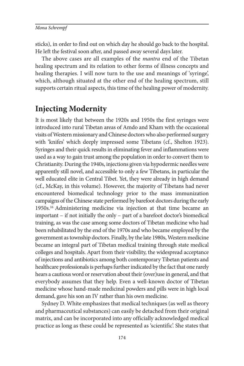sticks), in order to find out on which day he should go back to the hospital. He left the festival soon after, and passed away several days later.

The above cases are all examples of the *mantra* end of the Tibetan healing spectrum and its relation to other forms of illness concepts and healing therapies. I will now turn to the use and meanings of 'syringe', which, although situated at the other end of the healing spectrum, still supports certain ritual aspects, this time of the healing power of modernity.

## **Injecting Modernity**

It is most likely that between the 1920s and 1950s the first syringes were introduced into rural Tibetan areas of Amdo and Kham with the occasional visits of Western missionary and Chinese doctors who also performed surgery with 'knifes' which deeply impressed some Tibetans (cf., Shelton 1923). Syringes and their quick results in eliminating fever and inflammations were used as a way to gain trust among the population in order to convert them to Christianity. During the 1940s, injections given via hypodermic needles were apparently still novel, and accessible to only a few Tibetans, in particular the well educated elite in Central Tibet. Yet, they were already in high demand (cf., McKay, in this volume). However, the majority of Tibetans had never encountered biomedical technology prior to the mass immunization campaigns of the Chinese state performed by barefoot doctors during the early 1950s.16 Administering medicine via injection at that time became an important – if not initially the only – part of a barefoot doctor's biomedical training, as was the case among some doctors of Tibetan medicine who had been rehabilitated by the end of the 1970s and who became employed by the government as township doctors. Finally, by the late 1980s, Western medicine became an integral part of Tibetan medical training through state medical colleges and hospitals. Apart from their visibility, the widespread acceptance of injections and antibiotics among both contemporary Tibetan patients and healthcare professionals is perhaps further indicated by the fact that one rarely hears a cautious word or reservation about their (over)use in general, and that everybody assumes that they help. Even a well-known doctor of Tibetan medicine whose hand-made medicinal powders and pills were in high local demand, gave his son an IV rather than his own medicine.

Sydney D. White emphasizes that medical techniques (as well as theory and pharmaceutical substances) can easily be detached from their original matrix, and can be incorporated into any officially acknowledged medical practice as long as these could be represented as 'scientific'. She states that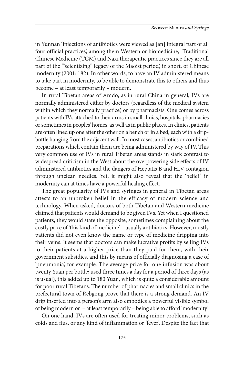in Yunnan 'injections of antibiotics were viewed as [an] integral part of all four official practices', among them Western or biomedicine, Traditional Chinese Medicine (TCM) and Naxi therapeutic practices since they are all part of the '"scientizing" legacy of the Maoist period', in short, of Chinese modernity (2001: 182). In other words, to have an IV administered means to take part in modernity, to be able to demonstrate this to others and thus become – at least temporarily – modern.

In rural Tibetan areas of Amdo, as in rural China in general, IVs are normally administered either by doctors (regardless of the medical system within which they normally practice) or by pharmacists. One comes across patients with IVs attached to their arms in small clinics, hospitals, pharmacies or sometimes in peoples' homes, as well as in public places. In clinics, patients are often lined up one after the other on a bench or in a bed, each with a dripbottle hanging from the adjacent wall. In most cases, antibiotics or combined preparations which contain them are being administered by way of IV. This very common use of IVs in rural Tibetan areas stands in stark contrast to widespread criticism in the West about the overpowering side effects of IV administered antibiotics and the dangers of Heptatis B and HIV contagion through unclean needles. Yet, it might also reveal that the 'belief' in modernity can at times have a powerful healing effect.

The great popularity of IVs and syringes in general in Tibetan areas attests to an unbroken belief in the efficacy of modern science and technology. When asked, doctors of both Tibetan and Western medicine claimed that patients would demand to be given IVs. Yet when I questioned patients, they would state the opposite, sometimes complaining about the costly price of 'this kind of medicine' – usually antibiotics. However, mostly patients did not even know the name or type of medicine dripping into their veins. It seems that doctors can make lucrative profits by selling IVs to their patients at a higher price than they paid for them, with their government subsidies, and this by means of officially diagnosing a case of 'pneumonia', for example. The average price for one infusion was about twenty Yuan per bottle; used three times a day for a period of three days (as is usual), this added up to 180 Yuan, which is quite a considerable amount for poor rural Tibetans. The number of pharmacies and small clinics in the prefectural town of Rebgong prove that there is a strong demand. An IV drip inserted into a person's arm also embodies a powerful visible symbol of being modern or – at least temporarily – being able to afford 'modernity'.

On one hand, IVs are often used for treating minor problems, such as colds and flus, or any kind of inflammation or 'fever'. Despite the fact that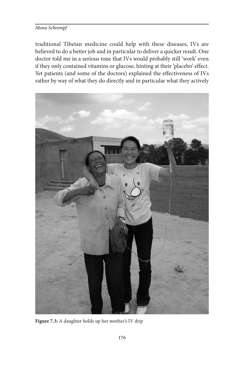traditional Tibetan medicine could help with these diseases, IVs are believed to do a better job and in particular to deliver a quicker result. One doctor told me in a serious tone that IVs would probably still 'work' even if they only contained vitamins or glucose, hinting at their 'placebo' effect. Yet patients (and some of the doctors) explained the effectiveness of IVs rather by way of what they do directly and in particular what they actively



**Figure 7.3:** A daughter holds up her mother's IV drip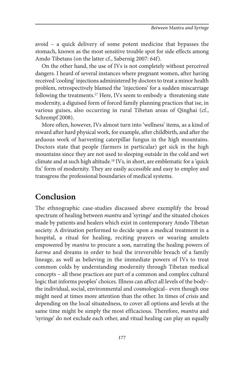avoid – a quick delivery of some potent medicine that bypasses the stomach, known as the most sensitive trouble spot for side effects among Amdo Tibetans (on the latter cf., Sabernig 2007: 64f).

On the other hand, the use of IVs is not completely without perceived dangers. I heard of several instances where pregnant women, after having received 'cooling' injections administered by doctors to treat a minor health problem, retrospectively blamed the 'injections' for a sudden miscarriage following the treatments.17 Here, IVs seem to embody a threatening state modernity, a diguised form of forced family planning practices that ise, in various guises, also occurring in rural Tibetan areas of Qinghai (cf., Schrempf 2008).

More often, however, IVs almost turn into 'wellness' items, as a kind of reward after hard physical work, for example, after childbirth, and after the arduous work of harvesting caterpillar fungus in the high mountains. Doctors state that people (farmers in particular) get sick in the high mountains since they are not used to sleeping outside in the cold and wet climate and at such high altitude.18 IVs, in short, are emblematic for a 'quick fix' form of modernity. They are easily accessible and easy to employ and transgress the professional boundaries of medical systems.

## **Conclusion**

The ethnographic case-studies discussed above exemplify the broad spectrum of healing between *mantra* and 'syringe' and the situated choices made by patients and healers which exist in contemporary Amdo Tibetan society. A divination performed to decide upon a medical treatment in a hospital, a ritual for healing, reciting prayers or wearing amulets empowered by *mantra* to procure a son, narrating the healing powers of *karma* and dreams in order to heal the irreversible breach of a family lineage, as well as believing in the immediate powers of IVs to treat common colds by understanding modernity through Tibetan medical concepts – all these practices are part of a common and complex cultural logic that informs peoples' choices. Illness can affect all levels of the body– the individual, social, environmental and cosmological– even though one might need at times more attention than the other. In times of crisis and depending on the local situatedness, to cover all options and levels at the same time might be simply the most efficacious. Therefore, *mantra* and 'syringe' do not exclude each other, and ritual healing can play an equally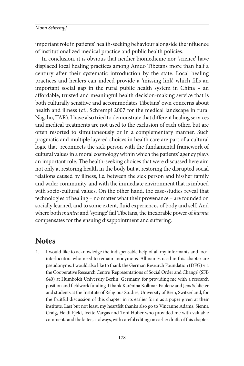important role in patients' health-seeking behaviour alongside the influence of institutionalized medical practice and public health policies.

In conclusion, it is obvious that neither biomedicine nor 'science' have displaced local healing practices among Amdo Tibetans more than half a century after their systematic introduction by the state. Local healing practices and healers can indeed provide a 'missing link' which fills an important social gap in the rural public health system in China – an affordable, trusted and meaningful health decision-making service that is both culturally sensitive and accommodates Tibetans' own concerns about health and illness (cf., Schrempf 2007 for the medical landscape in rural Nagchu, TAR). I have also tried to demonstrate that different healing services and medical treatments are not used to the exclusion of each other, but are often resorted to simultaneously or in a complementary manner. Such pragmatic and multiple layered choices in health care are part of a cultural logic that reconnects the sick person with the fundamental framework of cultural values in a moral cosmology within which the patients' agency plays an important role. The health-seeking choices that were discussed here aim not only at restoring health in the body but at restoring the disrupted social relations caused by illness, i.e. between the sick person and his/her family and wider community, and with the immediate environment that is imbued with socio-cultural values. On the other hand, the case-studies reveal that technologies of healing – no matter what their provenance – are founded on socially learned, and to some extent, fluid experiences of body and self. And where both *mantra* and 'syringe' fail Tibetans, the inexorable power of *karma* compensates for the ensuing disappointment and suffering.

### **Notes**

1. I would like to acknowledge the indispensable help of all my informants and local interlocutors who need to remain anonymous. All names used in this chapter are pseudonyms. I would also like to thank the German Research Foundation (DFG) via the Cooperative Research Centre 'Representations of Social Order and Change' (SFB 640) at Humboldt University Berlin, Germany, for providing me with a research position and fieldwork funding. I thank Karénina Kollmar-Paulenz and Jens Schlieter and students at the Institute of Religious Studies, University of Bern, Switzerland, for the fruitful discussion of this chapter in its earlier form as a paper given at their institute. Last but not least, my heartfelt thanks also go to Vincanne Adams, Sienna Craig, Heidi Fjeld, Ivette Vargas and Toni Huber who provided me with valuable comments and the latter, as always, with careful editing on earlier drafts of this chapter.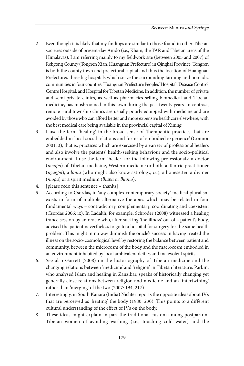- 2. Even though it is likely that my findings are similar to those found in other Tibetan societies outside of present-day Amdo (i.e., Kham, the TAR and Tibetan areas of the Himalayas), I am referring mainly to my fieldwork site (between 2005 and 2007) of Rebgong County (Tongren Xian, Huangnan Prefecture) in Qinghai Province. Tongren is both the county town and prefectural capital and thus the location of Huangnan Prefecture's three big hospitals which serve the surrounding farming and nomadic communities in four counties: Huangnan Prefecture Peoples' Hospital, Disease Control Centre Hospital, and Hospital for Tibetan Medicine. In addition, the number of private and semi-private clinics, as well as pharmacies selling biomedical and Tibetan medicine, has mushroomed in this town during the past twenty years. In contrast, remote rural township clinics are usually poorly equipped with medicine and are avoided by those who can afford better and more expensive healthcare elsewhere, with the best medical care being available in the provincial capital of Xining.
- 3. I use the term 'healing' in the broad sense of 'therapeutic practices that are embedded in local social relations and forms of embodied experience' (Connor 2001: 3), that is, practices which are exercised by a variety of professional healers and also involve the patients' health-seeking behaviour and the socio-political environment. I use the term 'healer' for the following professionals: a doctor (*menpa*) of Tibetan medicine, Western medicine or both, a Tantric practitioner (*ngagpa*), a *lama* (who might also know astrology, *tsi*), a bonesetter, a diviner (*mopa*) or a spirit medium (*lhapa* or *lhamo*).
- 4. [please redo this sentence thanks]
- 5. According to Csordas, in 'any complex contemporary society' medical pluralism exists in form of multiple alternative therapies which may be related in four fundamental ways – contradictory, complementary, coordinating and coexistent (Csordas 2006: ix). In Ladakh, for example, Schröder (2008) witnessed a healing trance session by an oracle who, after sucking 'the illness' out of a patient's body, advised the patient nevertheless to go to a hospital for surgery for the same health problem. This might in no way diminish the oracle's success in having treated the illness on the socio-cosmological level by restoring the balance between patient and community, between the microcosm of the body and the macrocosm embodied in an environment inhabited by local ambivalent deities and malevolent spirits.
- 6. See also Garrett (2008) on the historiography of Tibetan medicine and the changing relations between 'medicine' and 'religion' in Tibetan literature. Parkin, who analysed Islam and healing in Zanzibar, speaks of historically changing yet generally close relations between religion and medicine and an 'intertwining' rather than 'merging' of the two (2007: 194, 217).
- 7. Interestingly, in South Kanara (India) Nichter reports the opposite ideas about IVs that are perceived as 'heating' the body (1980: 230). This points to a different cultural understanding of the effect of IVs on the body.
- 8. These ideas might explain in part the traditional custom among postpartum Tibetan women of avoiding washing (i.e., touching cold water) and the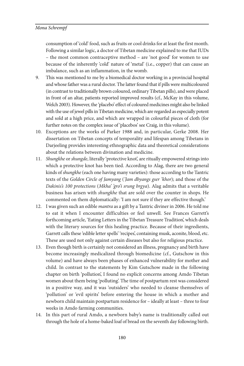consumption of 'cold' food, such as fruits or cool drinks for at least the first month. Following a similar logic, a doctor of Tibetan medicine explained to me that IUDs – the most common contraceptive method – are 'not good' for women to use because of the inherently 'cold' nature of 'metal' (i.e., copper) that can cause an imbalance, such as an inflammation, in the womb.

- 9. This was mentioned to me by a biomedical doctor working in a provincial hospital and whose father was a rural doctor. The latter found that if pills were multicoloured (in contrast to traditionally brown coloured, ordinary Tibetan pills), and were placed in front of an altar, patients reported improved results (cf., McKay in this volume, Welch 2003). However, the 'placebo' effect of coloured medicines might also be linked with the use of jewel pills in Tibetan medicine, which are regarded as especially potent and sold at a high price, and which are wrapped in colourful pieces of cloth (for further notes on the complex issue of 'placebos' see Craig, in this volume).
- 10. Exceptions are the works of Parker 1988 and, in particular, Gerke 2008. Her dissertation on Tibetan concepts of temporality and lifespan among Tibetans in Darjeeling provides interesting ethnographic data and theoretical considerations about the relations between divination and medicine.
- 11. *Shungkhe* or *shungde*, literally 'protective knot', are ritually empowered strings into which a protective knot has been tied. According to Alag, there are two general kinds of *shungkhe* (each one having many varieties): those according to the Tantric texts of the *Golden Circle of Jamyang* (*'Jam dbyangs gser 'khor*); and those of the *Dakinis's 100 protections* (*Mkha' 'gro'i srung brgya*). Alag admits that a veritable business has arisen with *shungkhe* that are sold over the counter in shops. He commented on them diplomatically: 'I am not sure if they are effective though.'
- 12. I was given such an edible *mantra* as a gift by a Tantric diviner in 2006. He told me to eat it when I encounter difficulties or feel unwell. See Frances Garrett's forthcoming article, 'Eating Letters in the Tibetan Treasure Tradition', which deals with the literary sources for this healing practice. Because of their ingredients, Garrett calls these 'edible letter spells' 'recipes', containing musk, aconite, blood, etc. These are used not only against certain diseases but also for religious practice.
- 13. Even though birth is certainly not considered an illness, pregnancy and birth have become increasingly medicalized through biomedicine (cf., Gutschow in this volume) and have always been phases of enhanced vulnerability for mother and child. In contrast to the statements by Kim Gutschow made in the following chapter on birth 'pollution', I found no explicit concerns among Amdo Tibetan women about them being 'polluting'. The time of postpartum rest was considered in a positive way, and it was 'outsiders' who needed to cleanse themselves of 'pollution' or 'evil spirits' before entering the house in which a mother and newborn child maintain postpartum residence for – ideally at least – three to four weeks in Amdo farming communities.
- 14. In this part of rural Amdo, a newborn baby's name is traditionally called out through the hole of a home-baked loaf of bread on the seventh day following birth.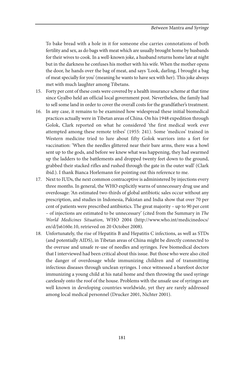To bake bread with a hole in it for someone else carries connotations of both fertility and sex, as do bags with meat which are usually brought home by husbands for their wives to cook. In a well-known joke, a husband returns home late at night but in the darkness he confuses his mother with his wife. When the mother opens the door, he hands over the bag of meat, and says 'Look, darling, I brought a bag of meat specially for you' (meaning he wants to have sex with her). This joke always met with much laughter among Tibetans.

- 15. Forty per cent of these costs were covered by a health insurance scheme at that time since Gyalbo held an official local government post. Nevertheless, the family had to sell some land in order to cover the overall costs for the grandfather's treatment.
- 16. In any case, it remains to be examined how widespread these initial biomedical practices actually were in Tibetan areas of China. On his 1948 expedition through Golok, Clark reported on what he considered 'the first medical work ever attempted among these remote tribes' (1955: 241). Some 'medicos' trained in Western medicine tried to lure about fifty Golok warriors into a fort for vaccination: 'When the needles glittered near their bare arms, there was a howl sent up to the gods, and before we knew what was happening, they had swarmed up the ladders to the battlements and dropped twenty feet down to the ground, grabbed their stacked rifles and rushed through the gate in the outer wall' (Clark ibid.). I thank Bianca Horlemann for pointing out this reference to me.
- 17. Next to IUDs, the next common contraceptive is administered by injections every three months. In general, the WHO explicitly warns of unnecessary drug use and overdosage: 'An estimated two-thirds of global antibiotic sales occur without any prescription, and studies in Indonesia, Pakistan and India show that over 70 per cent of patients were prescribed antibiotics. The great majority – up to 90 per cent – of injections are estimated to be unnecessary' (cited from the Summary in *The World Medicines Situation*, WHO 2004 (http://www.who.int/medicinedocs/ en/d/Js6160e.10, retrieved on 20 October 2008).
- 18. Unfortunately, the rise of Hepatitis B and Hepatitis C infections, as well as STDs (and potentially AIDS), in Tibetan areas of China might be directly connected to the overuse and unsafe re-use of needles and syringes. Few biomedical doctors that I interviewed had been critical about this issue. But those who were also cited the danger of overdosage while immunizing children and of transmitting infectious diseases through unclean syringes. I once witnessed a barefoot doctor immunizing a young child at his natal home and then throwing the used syringe carelessly onto the roof of the house. Problems with the unsafe use of syringes are well known in developing countries worldwide, yet they are rarely addressed among local medical personnel (Drucker 2001, Nichter 2001).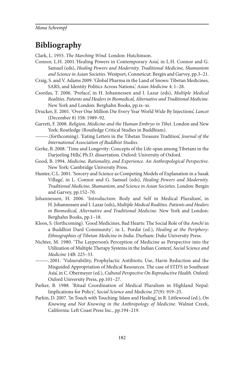## **Bibliography**

Clark, L. 1955. *The Marching Wind*. London: Hutchinson.

- Connor, L.H. 2001.'Healing Powers in Contemporary Asia', in L.H. Connor and G. Samuel (eds), *Healing Powers and Modernity. Traditional Medicine, Shamanism and Science in Asian Societies*. Westport, Conneticut: Bergin and Garvey, pp.3–21.
- Craig, S. and V. Adams 2009. 'Global Pharma in the Land of Snows: Tibetan Medicines, SARS, and Identity Politics Across Nations,' *Asian Medicine* 4: 1–28.
- Csordas, T. 2006. 'Preface', in H. Johannessen and I. Lazar (eds), *Multiple Medical Realities. Patients and Healers in Biomedical, Alternative and Traditional Medicine.* New York and London: Berghahn Books, pp.ix–xi.
- Drucker, E. 2001. 'Over One Million Die Every Year World Wide By Injections', *Lancet* (December 8) 358: 1989–92.
- Garrett, F. 2008. *Religion, Medicine and the Human Embryo in Tibet*. London and New York: Routledge (Routledge Critical Studies in Buddhism).
	- ———. (forthcoming). 'Eating Letters in the Tibetan Treasure Tradition', *Journal of the International Association of Buddhist Studies*.
- Gerke, B. 2008. 'Time and Longevity: Concepts of the Life-span among Tibetans in the Darjeeling Hills', Ph.D. dissertation. Oxford: University of Oxford.
- Good, B. 1994. *Medicine, Rationality, and Experience. An Anthropological Perspective*. New York: Cambridge University Press.
- Hunter, C.L. 2001. 'Sorcery and Science as Competing Models of Explanation in a Sasak Village', in L. Connor and G. Samuel (eds), *Healing Powers and Modernity. Traditional Medicine, Shamanism, and Science in Asian Societies*. London: Bergin and Garvey, pp.152–70.
- Johannessen, H. 2006. 'Introduction: Body and Self in Medical Pluralism', in H. Johannessen and I. Lazar (eds)**,** *Multiple Medical Realities. Patients and Healers in Biomedical, Alternative and Traditional Medicine.* New York and London: Berghahn Books, pp.1–18.
- Kloos, S. (forthcoming). 'Good Medicines, Bad Hearts: The Social Role of the *Amchi* in a Buddhist Dard Community*',* in L. Pordié (ed.), *Healing at the Periphery: Ethnographies of Tibetan Medicine in India*. Durham: Duke University Press.
- Nichter, M. 1980. 'The Layperson's Perception of Medicine as Perspective into the Utilization of Multiple Therapy Systems in the Indian Context', *Social Science and Medicine* 14B: 225–33.
- ———. 2001. 'Vulnerability, Prophylactic Antibiotic Use, Harm Reduction and the Misguided Appropriation of Medical Resources. The case of STD'S in Southeast Asia', in C. Obermeyer (ed.), *Cultural Perspective On Reproductive Health*. Oxford: Oxford University Press, pp.101–27.
- Parker, B. 1988. 'Ritual Coordination of Medical Pluralism in Highland Nepal: Implications for Policy', *Social Science and Medicine* 27(9): 919–25.
- Parkin, D. 2007. 'In Touch with Touching: Islam and Healing', in R. Littlewood (ed.), *On Knowing and Not Knowing in the Anthropology of Medicine*. Walnut Creek, California: Left Coast Press Inc., pp.194–219.